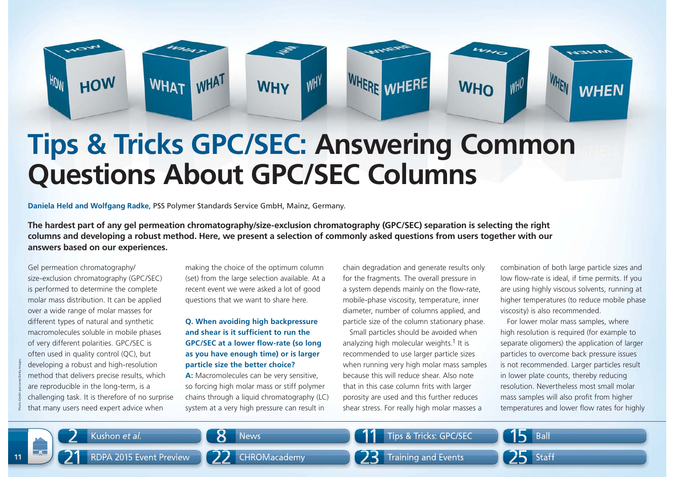

# **Tips & Tricks GPC/SEC: Answering Common Questions About GPC/SEC Columns**

**Daniela Held and Wolfgang Radke**, PSS Polymer Standards Service GmbH, Mainz, Germany.

**The hardest part of any gel permeation chromatography/size-exclusion chromatography (GPC/SEC) separation is selecting the right columns and developing a robust method. Here, we present a selection of commonly asked questions from users together with our answers based on our experiences.** 

Gel permeation chromatography/ size-exclusion chromatography (GPC/SEC) is performed to determine the complete molar mass distribution. It can be applied over a wide range of molar masses for different types of natural and synthetic macromolecules soluble in mobile phases of very different polarities. GPC/SEC is often used in quality control (QC), but developing a robust and high-resolution method that delivers precise results, which are reproducible in the long-term, is a challenging task. It is therefore of no surprise that many users need expert advice when

making the choice of the optimum column (set) from the large selection available. At a recent event we were asked a lot of good questions that we want to share here.

## **Q. When avoiding high backpressure**  and shear is it sufficient to run the **GPC/SEC at a lower flow-rate (so long as you have enough time) or is larger particle size the better choice?**

A: Macromolecules can be very sensitive, so forcing high molar mass or stiff polymer chains through a liquid chromatography (LC) system at a very high pressure can result in

chain degradation and generate results only for the fragments. The overall pressure in a system depends mainly on the flow-rate, mobile-phase viscosity, temperature, inner diameter, number of columns applied, and particle size of the column stationary phase.

Small particles should be avoided when analyzing high molecular weights.<sup>1</sup> It is recommended to use larger particle sizes when running very high molar mass samples because this will reduce shear. Also note that in this case column frits with larger porosity are used and this further reduces shear stress. For really high molar masses a

combination of both large particle sizes and low flow-rate is ideal, if time permits. If you are using highly viscous solvents, running at higher temperatures (to reduce mobile phase viscosity) is also recommended.

For lower molar mass samples, where high resolution is required (for example to separate oligomers) the application of larger particles to overcome back pressure issues is not recommended. Larger particles result in lower plate counts, thereby reducing resolution. Nevertheless most small molar mass samples will also profit from higher developing a robust and high-resolution **particle size the better choice?** When running very high molar mass samples is not recommended. Larger particles result method that delivers precise results, which **A**: Macromolecul

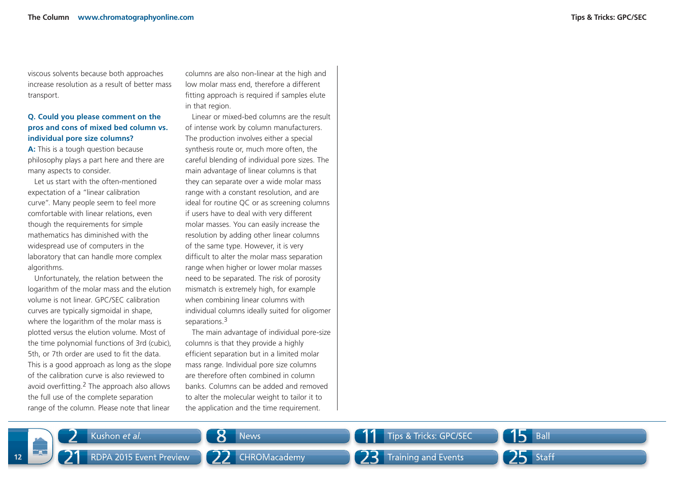viscous solvents because both approaches increase resolution as a result of better mass transport.

### **Q. Could you please comment on the pros and cons of mixed bed column vs. individual pore size columns?**

**A:** This is a tough question because philosophy plays a part here and there are many aspects to consider.

Let us start with the often-mentioned expectation of a "linear calibration curve". Many people seem to feel more comfortable with linear relations, even though the requirements for simple mathematics has diminished with the widespread use of computers in the laboratory that can handle more complex algorithms.

Unfortunately, the relation between the logarithm of the molar mass and the elution volume is not linear. GPC/SEC calibration curves are typically sigmoidal in shape, where the logarithm of the molar mass is plotted versus the elution volume. Most of the time polynomial functions of 3rd (cubic), 5th, or 7th order are used to fit the data. This is a good approach as long as the slope of the calibration curve is also reviewed to avoid overfitting. $2$  The approach also allows the full use of the complete separation range of the column. Please note that linear

2

21

**12**

columns are also non-linear at the high and low molar mass end, therefore a different fitting approach is required if samples elute in that region.

Linear or mixed-bed columns are the result of intense work by column manufacturers. The production involves either a special synthesis route or, much more often, the careful blending of individual pore sizes. The main advantage of linear columns is that they can separate over a wide molar mass range with a constant resolution, and are ideal for routine QC or as screening columns if users have to deal with very different molar masses. You can easily increase the resolution by adding other linear columns of the same type. However, it is very difficult to alter the molar mass separation range when higher or lower molar masses need to be separated. The risk of porosity mismatch is extremely high, for example when combining linear columns with individual columns ideally suited for oligomer separations.<sup>3</sup>

The main advantage of individual pore-size columns is that they provide a highly efficient separation but in a limited molar mass range. Individual pore size columns are therefore often combined in column banks. Columns can be added and removed to alter the molecular weight to tailor it to the application and the time requirement.

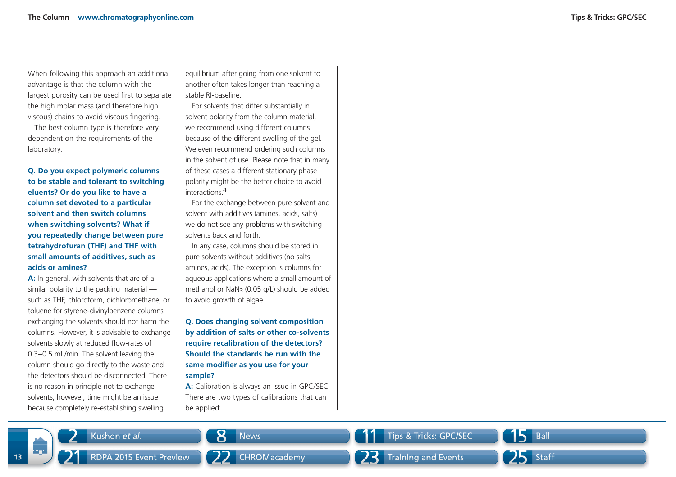When following this approach an additional advantage is that the column with the largest porosity can be used first to separate the high molar mass (and therefore high viscous) chains to avoid viscous fingering.

The best column type is therefore very dependent on the requirements of the laboratory.

**Q. Do you expect polymeric columns to be stable and tolerant to switching eluents? Or do you like to have a column set devoted to a particular solvent and then switch columns when switching solvents? What if you repeatedly change between pure tetrahydrofuran (THF) and THF with small amounts of additives, such as acids or amines?** 

**A:** In general, with solvents that are of a similar polarity to the packing material such as THF, chloroform, dichloromethane, or toluene for styrene-divinylbenzene columns exchanging the solvents should not harm the columns. However, it is advisable to exchange solvents slowly at reduced flow-rates of 0.3–0.5 mL/min. The solvent leaving the column should go directly to the waste and the detectors should be disconnected. There is no reason in principle not to exchange solvents; however, time might be an issue because completely re-establishing swelling

equilibrium after going from one solvent to another often takes longer than reaching a stable RI-baseline.

For solvents that differ substantially in solvent polarity from the column material, we recommend using different columns because of the different swelling of the gel. We even recommend ordering such columns in the solvent of use. Please note that in many of these cases a different stationary phase polarity might be the better choice to avoid interactions.<sup>4</sup>

For the exchange between pure solvent and solvent with additives (amines, acids, salts) we do not see any problems with switching solvents back and forth.

In any case, columns should be stored in pure solvents without additives (no salts, amines, acids). The exception is columns for aqueous applications where a small amount of methanol or NaN3 (0.05 g/L) should be added to avoid growth of algae.

**Q. Does changing solvent composition by addition of salts or other co-solvents require recalibration of the detectors? Should the standards be run with the** same modifier as you use for your **sample?**

**A:** Calibration is always an issue in GPC/SEC. There are two types of calibrations that can be applied: